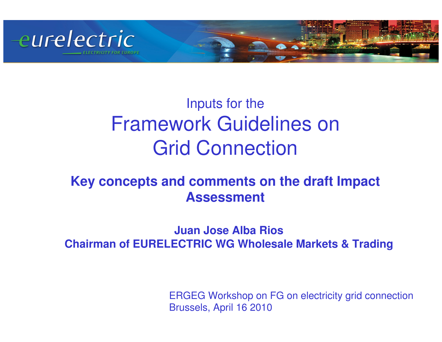

## Inputs for the Framework Guidelines onGrid Connection

### **Key concepts and comments on the draft Impact Assessment**

#### **Juan Jose Alba RiosChairman of EURELECTRIC WG Wholesale Markets & Trading**

ERGEG Workshop on FG on electricity grid connectionBrussels, April 16 2010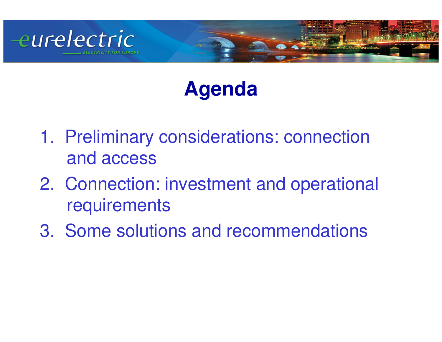

# **Agenda**

- 1. Preliminary considerations: connection and access
- 2. Connection: investment and operational **requirements**
- 3. Some solutions and recommendations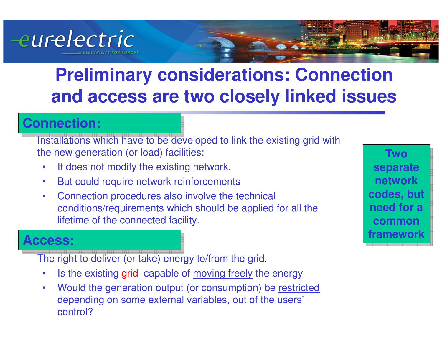

## **Preliminary considerations: Connection and access are two closely linked issues**

### **Connection:**

Installations which have to be developed to link the existing grid with the new generation (or load) facilities:

- •It does not modify the existing network.
- $\bullet$ But could require network reinforcements
- $\bullet$  Connection procedures also involve the technical conditions/requirements which should be applied for all the lifetime of the connected facility.

#### **Access:**

The right to deliver (or take) energy to/from the grid.

- •Is the existing grid capable of moving freely the energy
- • Would the generation output (or consumption) be restricteddepending on some external variables, out of the users'control?

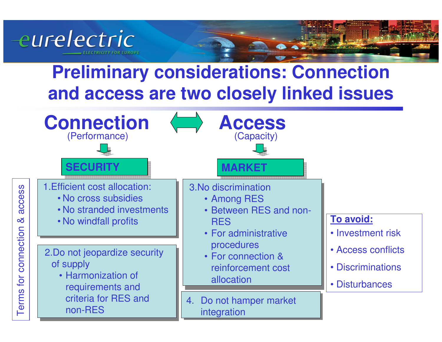

## **Preliminary considerations: Connection and access are two closely linked issues**

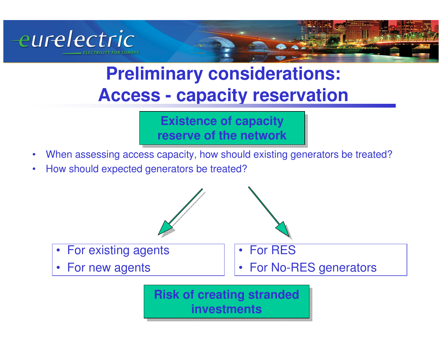

## **Preliminary considerations: Access - capacity reservation**

**Existence of capacity Existence of capacity reserve of the networkreserve of the network**

- When assessing access capacity, how should existing generators be treated?•
- •How should expected generators be treated?



**investmentsinvestments**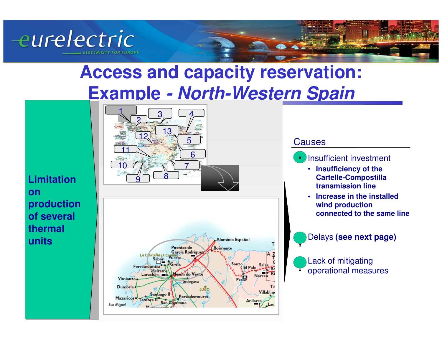



# **Access and capacity reservation: Example - North-Western Spain**



**Limitation Limitation on on production production of several of several thermal thermal unitsunits**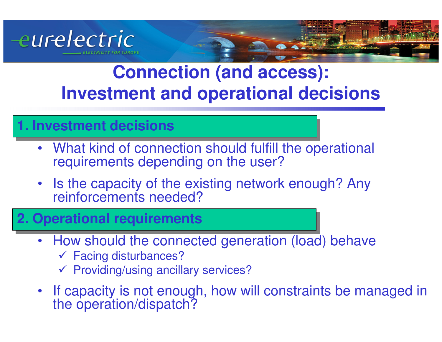

## **Connection (and access): Investment and operational decisions**

### **1. Investment decisions**

- $\bullet$  What kind of connection should fulfill the operational requirements depending on the user?
- Is the capacity of the existing network enough? Any reinforcements needed?

### **2. Operational requirements**

- How should the connected generation (load) behave
	- **✓ Facing disturbances?**<br>✓ Providing/uning anoill
	- $\checkmark$  Providing/using ancillary services?
- $\bullet$ If capacity is not enough, how will constraints be managed in the operation/dispatch?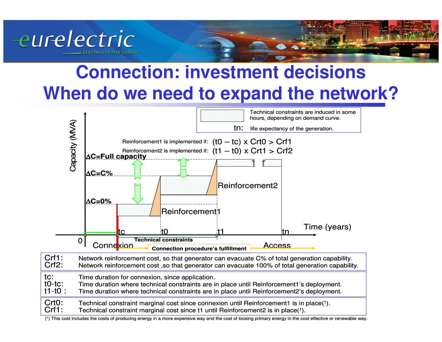

## **Connection: investment decisionsWhen do we need to expand the network?**

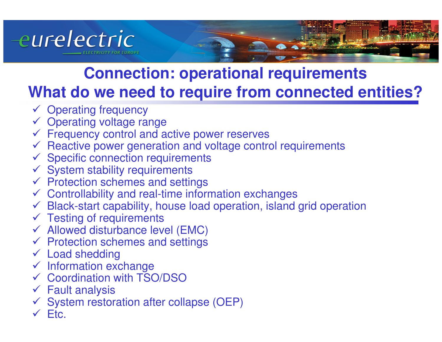

## **Connection: operational requirementsWhat do we need to require from connected entities?**

- **✓ Operating frequency**<br>✓ Operating voltage ra
- **✓ Operating voltage range**<br>✓ Frequency control and a
- ← Frequency control and active power reserves
- $\checkmark$  Reactive power generation and voltage control requirements<br> $\checkmark$  Specific connection requirements
- ← Specific connection requirements
- $\checkmark$  System stability requirements<br> $\checkmark$  Protection schemes and settiv
- ← Protection schemes and settings<br>← Controllability and real-time infor
- ← Controllability and real-time information exchanges
- $\checkmark$  Black-start capability, house load operation, island grid operation<br> $\checkmark$  Testing of requirements
- **✓ Testing of requirements**<br>✓ Allowed disturbance lev
- ← Allowed disturbance level (EMC)
- ← Protection schemes and settings
- **✓ Load shedding**
- $\checkmark$  Information exchange
- **✓ Coordination with TSO/DSO**
- **✓** Fault analysis<br>✓ System restor
- $\checkmark$ System restoration after collapse (OEP)
- $\checkmark$  Etc.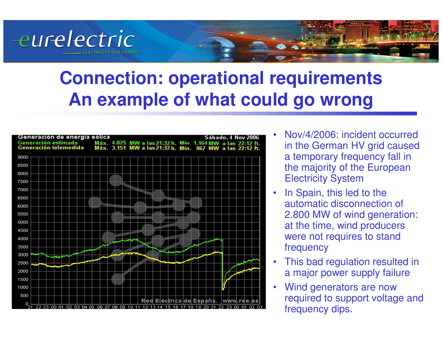## **Connection: operational requirementsAn example of what could go wrong**



eurelectric

- • Nov/4/2006: incident occurred in the German HV grid caused a temporary frequency fall in the majority of the European Electricity System
- • In Spain, this led to the automatic disconnection of 2.800 MW of wind generation: at the time, wind producers were not requires to stand frequency
- • This bad regulation resulted in a major power supply failure
- • Wind generators are now required to support voltage and frequency dips.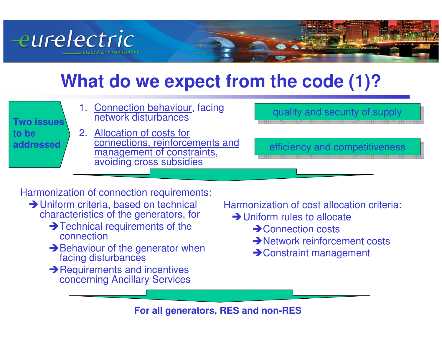

## **What do we expect from the code (1)?**

| Two issues         | 1. Connection behaviour, facing<br>network disturbances                                                                 | quality and security of supply |
|--------------------|-------------------------------------------------------------------------------------------------------------------------|--------------------------------|
| to be<br>addressed | 2. Allocation of costs for<br>connections, reinforcements and<br>management of constraints,<br>avoiding cross subsidies | efficiency and competitiveness |
|                    |                                                                                                                         |                                |

Harmonization of connection requirements:

- **→ Uniform criteria, based on technical**  characteristics of the generators, for
	- → Technical requirements of the connection
	- **→ Behaviour of the generator when** facing disturbances
	- **→ Requirements and incentives** concerning Ancillary Services

Harmonization of cost allocation criteria:

- **→ Uniform rules to allocate** 
	- $\rightarrow$  Connection costs
	- **→ Network reinforcement costs**
	- -Constraint management

**For all generators, RES and non-RES**